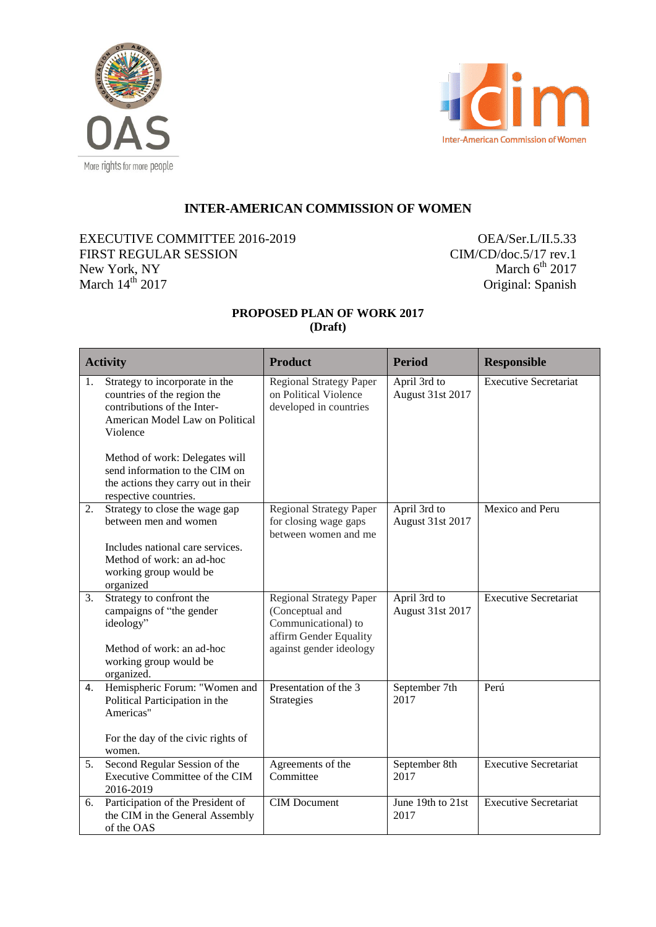



# **INTER-AMERICAN COMMISSION OF WOMEN**

# EXECUTIVE COMMITTEE 2016-2019 FIRST REGULAR SESSION New York, NY March  $14<sup>th</sup>$  2017

OEA/Ser.L/II.5.33 CIM/CD/doc.5/17 rev.1 March  $6^{\text{th}}$  2017 Original: Spanish

# **PROPOSED PLAN OF WORK 2017 (Draft)**

| <b>Activity</b> |                                                                                                                                                                                                                                                                                 | <b>Product</b>                                                                                                                | <b>Period</b>                          | <b>Responsible</b>           |
|-----------------|---------------------------------------------------------------------------------------------------------------------------------------------------------------------------------------------------------------------------------------------------------------------------------|-------------------------------------------------------------------------------------------------------------------------------|----------------------------------------|------------------------------|
| 1.              | Strategy to incorporate in the<br>countries of the region the<br>contributions of the Inter-<br>American Model Law on Political<br>Violence<br>Method of work: Delegates will<br>send information to the CIM on<br>the actions they carry out in their<br>respective countries. | <b>Regional Strategy Paper</b><br>on Political Violence<br>developed in countries                                             | April 3rd to<br>August 31st 2017       | <b>Executive Secretariat</b> |
| 2.              | Strategy to close the wage gap<br>between men and women<br>Includes national care services.<br>Method of work: an ad-hoc<br>working group would be                                                                                                                              | <b>Regional Strategy Paper</b><br>for closing wage gaps<br>between women and me                                               | April 3rd to<br>August 31st 2017       | Mexico and Peru              |
| 3.              | organized<br>Strategy to confront the<br>campaigns of "the gender<br>ideology"<br>Method of work: an ad-hoc<br>working group would be<br>organized.                                                                                                                             | <b>Regional Strategy Paper</b><br>(Conceptual and<br>Communicational) to<br>affirm Gender Equality<br>against gender ideology | April 3rd to<br>August 31st 2017       | <b>Executive Secretariat</b> |
| 4.              | Hemispheric Forum: "Women and<br>Political Participation in the<br>Americas"<br>For the day of the civic rights of<br>women.                                                                                                                                                    | Presentation of the 3<br>Strategies                                                                                           | September 7th<br>2017                  | Perú                         |
| 5.              | Second Regular Session of the<br>Executive Committee of the CIM<br>2016-2019                                                                                                                                                                                                    | Agreements of the<br>Committee                                                                                                | September 8th<br>2017                  | <b>Executive Secretariat</b> |
| 6.              | Participation of the President of<br>the CIM in the General Assembly<br>of the OAS                                                                                                                                                                                              | <b>CIM</b> Document                                                                                                           | June 19th to $\overline{21st}$<br>2017 | <b>Executive Secretariat</b> |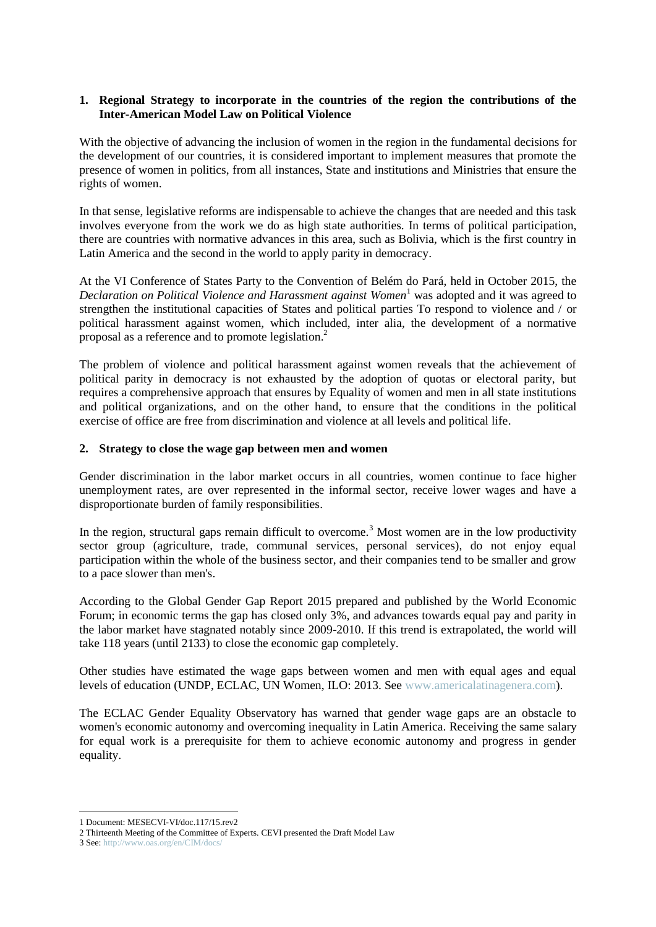#### **1. Regional Strategy to incorporate in the countries of the region the contributions of the Inter-American Model Law on Political Violence**

With the objective of advancing the inclusion of women in the region in the fundamental decisions for the development of our countries, it is considered important to implement measures that promote the presence of women in politics, from all instances, State and institutions and Ministries that ensure the rights of women.

In that sense, legislative reforms are indispensable to achieve the changes that are needed and this task involves everyone from the work we do as high state authorities. In terms of political participation, there are countries with normative advances in this area, such as Bolivia, which is the first country in Latin America and the second in the world to apply parity in democracy.

At the VI Conference of States Party to the Convention of Belém do Pará, held in October 2015, the *Declaration on Political Violence and Harassment against Women*<sup>1</sup> was adopted and it was agreed to strengthen the institutional capacities of States and political parties To respond to violence and / or political harassment against women, which included, inter alia, the development of a normative proposal as a reference and to promote legislation.<sup>2</sup>

The problem of violence and political harassment against women reveals that the achievement of political parity in democracy is not exhausted by the adoption of quotas or electoral parity, but requires a comprehensive approach that ensures by Equality of women and men in all state institutions and political organizations, and on the other hand, to ensure that the conditions in the political exercise of office are free from discrimination and violence at all levels and political life.

#### **2. Strategy to close the wage gap between men and women**

Gender discrimination in the labor market occurs in all countries, women continue to face higher unemployment rates, are over represented in the informal sector, receive lower wages and have a disproportionate burden of family responsibilities.

In the region, structural gaps remain difficult to overcome.<sup>3</sup> Most women are in the low productivity sector group (agriculture, trade, communal services, personal services), do not enjoy equal participation within the whole of the business sector, and their companies tend to be smaller and grow to a pace slower than men's.

According to the Global Gender Gap Report 2015 prepared and published by the World Economic Forum; in economic terms the gap has closed only 3%, and advances towards equal pay and parity in the labor market have stagnated notably since 2009-2010. If this trend is extrapolated, the world will take 118 years (until 2133) to close the economic gap completely.

Other studies have estimated the wage gaps between women and men with equal ages and equal levels of education (UNDP, ECLAC, UN Women, ILO: 2013. See [www.americalatinagenera.com\)](http://www.americalatinagenera.com/).

The ECLAC Gender Equality Observatory has warned that gender wage gaps are an obstacle to women's economic autonomy and overcoming inequality in Latin America. Receiving the same salary for equal work is a prerequisite for them to achieve economic autonomy and progress in gender equality.

1

<sup>1</sup> Document: MESECVI-VI/doc.117/15.rev2

<sup>2</sup> Thirteenth Meeting of the Committee of Experts. CEVI presented the Draft Model Law

<sup>3</sup> See:<http://www.oas.org/en/CIM/docs/>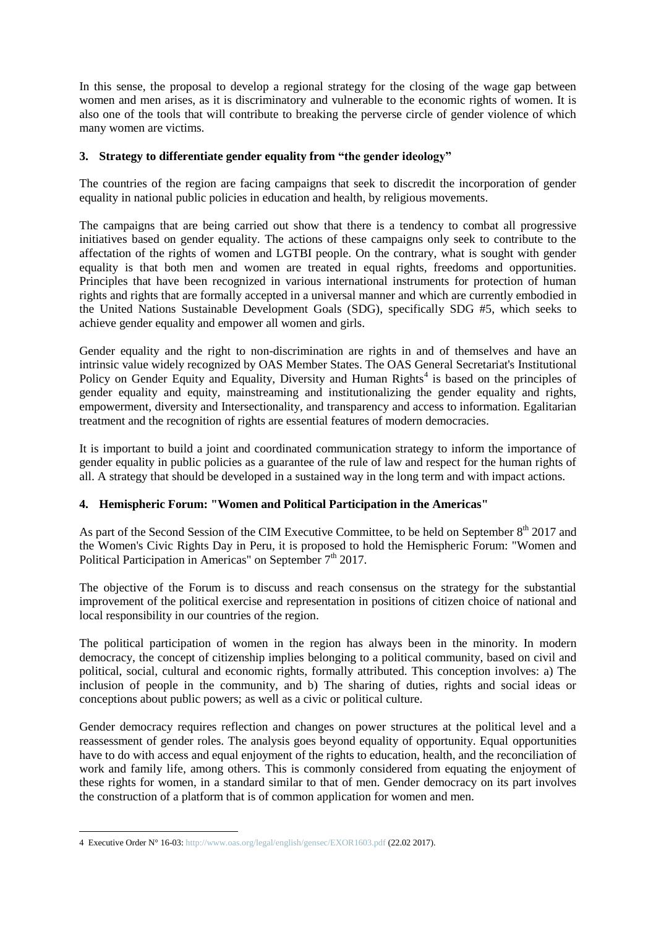In this sense, the proposal to develop a regional strategy for the closing of the wage gap between women and men arises, as it is discriminatory and vulnerable to the economic rights of women. It is also one of the tools that will contribute to breaking the perverse circle of gender violence of which many women are victims.

## **3. Strategy to differentiate gender equality from "the gender ideology"**

The countries of the region are facing campaigns that seek to discredit the incorporation of gender equality in national public policies in education and health, by religious movements.

The campaigns that are being carried out show that there is a tendency to combat all progressive initiatives based on gender equality. The actions of these campaigns only seek to contribute to the affectation of the rights of women and LGTBI people. On the contrary, what is sought with gender equality is that both men and women are treated in equal rights, freedoms and opportunities. Principles that have been recognized in various international instruments for protection of human rights and rights that are formally accepted in a universal manner and which are currently embodied in the United Nations Sustainable Development Goals (SDG), specifically SDG #5, which seeks to achieve gender equality and empower all women and girls.

Gender equality and the right to non-discrimination are rights in and of themselves and have an intrinsic value widely recognized by OAS Member States. The OAS General Secretariat's Institutional Policy on Gender Equity and Equality, Diversity and Human Rights<sup>4</sup> is based on the principles of gender equality and equity, mainstreaming and institutionalizing the gender equality and rights, empowerment, diversity and Intersectionality, and transparency and access to information. Egalitarian treatment and the recognition of rights are essential features of modern democracies.

It is important to build a joint and coordinated communication strategy to inform the importance of gender equality in public policies as a guarantee of the rule of law and respect for the human rights of all. A strategy that should be developed in a sustained way in the long term and with impact actions.

# **4. Hemispheric Forum: "Women and Political Participation in the Americas"**

As part of the Second Session of the CIM Executive Committee, to be held on September 8<sup>th</sup> 2017 and the Women's Civic Rights Day in Peru, it is proposed to hold the Hemispheric Forum: "Women and Political Participation in Americas" on September 7<sup>th</sup> 2017.

The objective of the Forum is to discuss and reach consensus on the strategy for the substantial improvement of the political exercise and representation in positions of citizen choice of national and local responsibility in our countries of the region.

The political participation of women in the region has always been in the minority. In modern democracy, the concept of citizenship implies belonging to a political community, based on civil and political, social, cultural and economic rights, formally attributed. This conception involves: a) The inclusion of people in the community, and b) The sharing of duties, rights and social ideas or conceptions about public powers; as well as a civic or political culture.

Gender democracy requires reflection and changes on power structures at the political level and a reassessment of gender roles. The analysis goes beyond equality of opportunity. Equal opportunities have to do with access and equal enjoyment of the rights to education, health, and the reconciliation of work and family life, among others. This is commonly considered from equating the enjoyment of these rights for women, in a standard similar to that of men. Gender democracy on its part involves the construction of a platform that is of common application for women and men.

<u>.</u>

<sup>4</sup> Executive Order N° 16-03[: http://www.oas.org/legal/english/gensec/EXOR1603.pdf](http://www.oas.org/legal/english/gensec/EXOR1603.pdf) (22.02 2017).